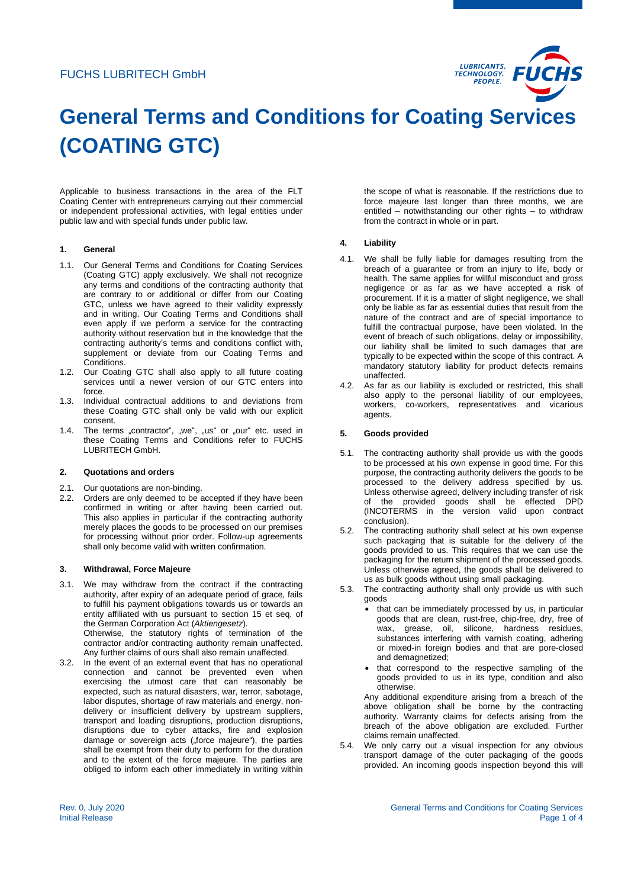

# **General Terms and Conditions for Coating Services (COATING GTC)**

Applicable to business transactions in the area of the FLT Coating Center with entrepreneurs carrying out their commercial or independent professional activities, with legal entities under public law and with special funds under public law.

## **1. General**

- 1.1. Our General Terms and Conditions for Coating Services (Coating GTC) apply exclusively. We shall not recognize any terms and conditions of the contracting authority that are contrary to or additional or differ from our Coating GTC, unless we have agreed to their validity expressly and in writing. Our Coating Terms and Conditions shall even apply if we perform a service for the contracting authority without reservation but in the knowledge that the contracting authority's terms and conditions conflict with, supplement or deviate from our Coating Terms and Conditions.
- 1.2. Our Coating GTC shall also apply to all future coating services until a newer version of our GTC enters into force.
- 1.3. Individual contractual additions to and deviations from these Coating GTC shall only be valid with our explicit consent.
- 1.4. The terms "contractor", "we", "us" or "our" etc. used in these Coating Terms and Conditions refer to FUCHS LUBRITECH GmbH.

#### **2. Quotations and orders**

- 2.1. Our quotations are non-binding.<br>2.2. Orders are only deemed to be a
- Orders are only deemed to be accepted if they have been confirmed in writing or after having been carried out. This also applies in particular if the contracting authority merely places the goods to be processed on our premises for processing without prior order. Follow-up agreements shall only become valid with written confirmation.

#### **3. Withdrawal, Force Majeure**

- 3.1. We may withdraw from the contract if the contracting authority, after expiry of an adequate period of grace, fails to fulfill his payment obligations towards us or towards an entity affiliated with us pursuant to section 15 et seq. of the German Corporation Act (*Aktiengesetz*). Otherwise, the statutory rights of termination of the contractor and/or contracting authority remain unaffected. Any further claims of ours shall also remain unaffected.
- 3.2. In the event of an external event that has no operational connection and cannot be prevented even when exercising the utmost care that can reasonably be expected, such as natural disasters, war, terror, sabotage, labor disputes, shortage of raw materials and energy, nondelivery or insufficient delivery by upstream suppliers, transport and loading disruptions, production disruptions, disruptions due to cyber attacks, fire and explosion damage or sovereign acts (force majeure"), the parties shall be exempt from their duty to perform for the duration and to the extent of the force majeure. The parties are obliged to inform each other immediately in writing within

the scope of what is reasonable. If the restrictions due to force majeure last longer than three months, we are entitled – notwithstanding our other rights – to withdraw from the contract in whole or in part.

# **4. Liability**

- 4.1. We shall be fully liable for damages resulting from the breach of a guarantee or from an injury to life, body or health. The same applies for willful misconduct and gross negligence or as far as we have accepted a risk of procurement. If it is a matter of slight negligence, we shall only be liable as far as essential duties that result from the nature of the contract and are of special importance to fulfill the contractual purpose, have been violated. In the event of breach of such obligations, delay or impossibility, our liability shall be limited to such damages that are typically to be expected within the scope of this contract. A mandatory statutory liability for product defects remains unaffected.
- 4.2. As far as our liability is excluded or restricted, this shall also apply to the personal liability of our employees, workers, co-workers, representatives and vicarious agents.

# **5. Goods provided**

- 5.1. The contracting authority shall provide us with the goods to be processed at his own expense in good time. For this purpose, the contracting authority delivers the goods to be processed to the delivery address specified by us. Unless otherwise agreed, delivery including transfer of risk of the provided goods shall be effected DPD (INCOTERMS in the version valid upon contract conclusion).
- 5.2. The contracting authority shall select at his own expense such packaging that is suitable for the delivery of the goods provided to us. This requires that we can use the packaging for the return shipment of the processed goods. Unless otherwise agreed, the goods shall be delivered to us as bulk goods without using small packaging.
- 5.3. The contracting authority shall only provide us with such goods
	- that can be immediately processed by us, in particular goods that are clean, rust-free, chip-free, dry, free of wax, grease, oil, silicone, hardness residues, substances interfering with varnish coating, adhering or mixed-in foreign bodies and that are pore-closed and demagnetized;
	- that correspond to the respective sampling of the goods provided to us in its type, condition and also otherwise.

Any additional expenditure arising from a breach of the above obligation shall be borne by the contracting authority. Warranty claims for defects arising from the breach of the above obligation are excluded. Further claims remain unaffected.

5.4. We only carry out a visual inspection for any obvious transport damage of the outer packaging of the goods provided. An incoming goods inspection beyond this will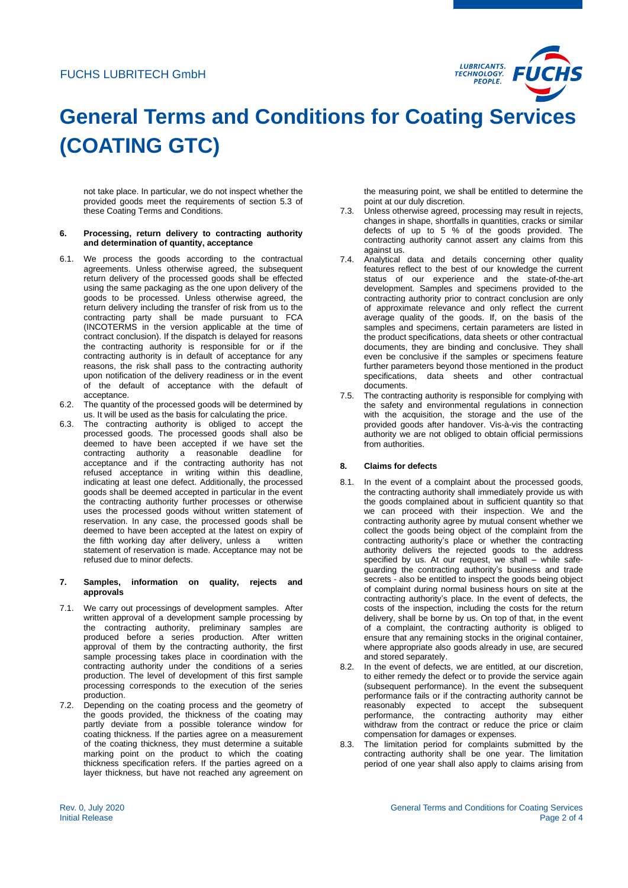

# **General Terms and Conditions for Coating Services (COATING GTC)**

not take place. In particular, we do not inspect whether the provided goods meet the requirements of section 5.3 of these Coating Terms and Conditions.

#### **6. Processing, return delivery to contracting authority and determination of quantity, acceptance**

- 6.1. We process the goods according to the contractual agreements. Unless otherwise agreed, the subsequent return delivery of the processed goods shall be effected using the same packaging as the one upon delivery of the goods to be processed. Unless otherwise agreed, the return delivery including the transfer of risk from us to the contracting party shall be made pursuant to FCA (INCOTERMS in the version applicable at the time of contract conclusion). If the dispatch is delayed for reasons the contracting authority is responsible for or if the contracting authority is in default of acceptance for any reasons, the risk shall pass to the contracting authority upon notification of the delivery readiness or in the event of the default of acceptance with the default of acceptance.
- 6.2. The quantity of the processed goods will be determined by us. It will be used as the basis for calculating the price.
- 6.3. The contracting authority is obliged to accept the processed goods. The processed goods shall also be deemed to have been accepted if we have set the contracting authority a reasonable deadline for acceptance and if the contracting authority has not refused acceptance in writing within this deadline, indicating at least one defect. Additionally, the processed goods shall be deemed accepted in particular in the event the contracting authority further processes or otherwise uses the processed goods without written statement of reservation. In any case, the processed goods shall be deemed to have been accepted at the latest on expiry of the fifth working day after delivery, unless a written statement of reservation is made. Acceptance may not be refused due to minor defects.

### **7. Samples, information on quality, rejects and approvals**

- 7.1. We carry out processings of development samples. After written approval of a development sample processing by the contracting authority, preliminary samples are produced before a series production. After written approval of them by the contracting authority, the first sample processing takes place in coordination with the contracting authority under the conditions of a series production. The level of development of this first sample processing corresponds to the execution of the series production.
- 7.2. Depending on the coating process and the geometry of the goods provided, the thickness of the coating may partly deviate from a possible tolerance window for coating thickness. If the parties agree on a measurement of the coating thickness, they must determine a suitable marking point on the product to which the coating thickness specification refers. If the parties agreed on a layer thickness, but have not reached any agreement on

the measuring point, we shall be entitled to determine the point at our duly discretion.

- 7.3. Unless otherwise agreed, processing may result in rejects, changes in shape, shortfalls in quantities, cracks or similar defects of up to 5 % of the goods provided. The contracting authority cannot assert any claims from this against us.
- 7.4. Analytical data and details concerning other quality features reflect to the best of our knowledge the current status of our experience and the state-of-the-art development. Samples and specimens provided to the contracting authority prior to contract conclusion are only of approximate relevance and only reflect the current average quality of the goods. If, on the basis of the samples and specimens, certain parameters are listed in the product specifications, data sheets or other contractual documents, they are binding and conclusive. They shall even be conclusive if the samples or specimens feature further parameters beyond those mentioned in the product specifications, data sheets and other contractual documents.
- 7.5. The contracting authority is responsible for complying with the safety and environmental regulations in connection with the acquisition, the storage and the use of the provided goods after handover. Vis-à-vis the contracting authority we are not obliged to obtain official permissions from authorities.

### **8. Claims for defects**

- 8.1. In the event of a complaint about the processed goods, the contracting authority shall immediately provide us with the goods complained about in sufficient quantity so that we can proceed with their inspection. We and the contracting authority agree by mutual consent whether we collect the goods being object of the complaint from the contracting authority's place or whether the contracting authority delivers the rejected goods to the address specified by us. At our request, we shall – while safeguarding the contracting authority's business and trade secrets - also be entitled to inspect the goods being object of complaint during normal business hours on site at the contracting authority's place. In the event of defects, the costs of the inspection, including the costs for the return delivery, shall be borne by us. On top of that, in the event of a complaint, the contracting authority is obliged to ensure that any remaining stocks in the original container, where appropriate also goods already in use, are secured and stored separately.
- 8.2. In the event of defects, we are entitled, at our discretion, to either remedy the defect or to provide the service again (subsequent performance). In the event the subsequent performance fails or if the contracting authority cannot be reasonably expected to accept the subsequent performance, the contracting authority may either withdraw from the contract or reduce the price or claim compensation for damages or expenses.
- 8.3. The limitation period for complaints submitted by the contracting authority shall be one year. The limitation period of one year shall also apply to claims arising from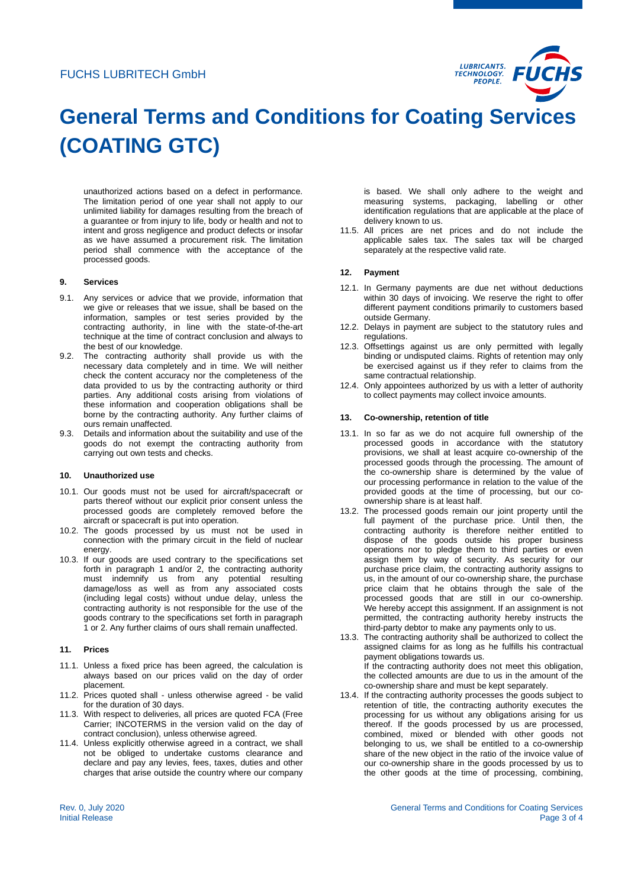# FUCHS LUBRITECH GmbH



# **General Terms and Conditions for Coating Services (COATING GTC)**

unauthorized actions based on a defect in performance. The limitation period of one year shall not apply to our unlimited liability for damages resulting from the breach of a guarantee or from injury to life, body or health and not to intent and gross negligence and product defects or insofar as we have assumed a procurement risk. The limitation period shall commence with the acceptance of the processed goods.

# **9. Services**

- 9.1. Any services or advice that we provide, information that we give or releases that we issue, shall be based on the information, samples or test series provided by the contracting authority, in line with the state-of-the-art technique at the time of contract conclusion and always to the best of our knowledge.
- 9.2. The contracting authority shall provide us with the necessary data completely and in time. We will neither check the content accuracy nor the completeness of the data provided to us by the contracting authority or third parties. Any additional costs arising from violations of these information and cooperation obligations shall be borne by the contracting authority. Any further claims of ours remain unaffected.
- 9.3. Details and information about the suitability and use of the goods do not exempt the contracting authority from carrying out own tests and checks.

#### **10. Unauthorized use**

- 10.1. Our goods must not be used for aircraft/spacecraft or parts thereof without our explicit prior consent unless the processed goods are completely removed before the aircraft or spacecraft is put into operation.
- 10.2. The goods processed by us must not be used in connection with the primary circuit in the field of nuclear energy.
- 10.3. If our goods are used contrary to the specifications set forth in paragraph 1 and/or 2, the contracting authority must indemnify us from any potential resulting damage/loss as well as from any associated costs (including legal costs) without undue delay, unless the contracting authority is not responsible for the use of the goods contrary to the specifications set forth in paragraph 1 or 2. Any further claims of ours shall remain unaffected.

### **11. Prices**

- 11.1. Unless a fixed price has been agreed, the calculation is always based on our prices valid on the day of order placement.
- 11.2. Prices quoted shall unless otherwise agreed be valid for the duration of 30 days.
- 11.3. With respect to deliveries, all prices are quoted FCA (Free Carrier; INCOTERMS in the version valid on the day of contract conclusion), unless otherwise agreed.
- 11.4. Unless explicitly otherwise agreed in a contract, we shall not be obliged to undertake customs clearance and declare and pay any levies, fees, taxes, duties and other charges that arise outside the country where our company

is based. We shall only adhere to the weight and measuring systems, packaging, labelling or other identification regulations that are applicable at the place of delivery known to us.

11.5. All prices are net prices and do not include the applicable sales tax. The sales tax will be charged separately at the respective valid rate.

# **12. Payment**

- 12.1. In Germany payments are due net without deductions within 30 days of invoicing. We reserve the right to offer different payment conditions primarily to customers based outside Germany.
- 12.2. Delays in payment are subject to the statutory rules and regulations.
- 12.3. Offsettings against us are only permitted with legally binding or undisputed claims. Rights of retention may only be exercised against us if they refer to claims from the same contractual relationship.
- 12.4. Only appointees authorized by us with a letter of authority to collect payments may collect invoice amounts.

#### **13. Co-ownership, retention of title**

- 13.1. In so far as we do not acquire full ownership of the processed goods in accordance with the statutory provisions, we shall at least acquire co-ownership of the processed goods through the processing. The amount of the co-ownership share is determined by the value of our processing performance in relation to the value of the provided goods at the time of processing, but our coownership share is at least half.
- 13.2. The processed goods remain our joint property until the full payment of the purchase price. Until then, the contracting authority is therefore neither entitled to dispose of the goods outside his proper business operations nor to pledge them to third parties or even assign them by way of security. As security for our purchase price claim, the contracting authority assigns to us, in the amount of our co-ownership share, the purchase price claim that he obtains through the sale of the processed goods that are still in our co-ownership. We hereby accept this assignment. If an assignment is not permitted, the contracting authority hereby instructs the third-party debtor to make any payments only to us.
- 13.3. The contracting authority shall be authorized to collect the assigned claims for as long as he fulfills his contractual payment obligations towards us. If the contracting authority does not meet this obligation, the collected amounts are due to us in the amount of the co-ownership share and must be kept separately.
- 13.4. If the contracting authority processes the goods subject to retention of title, the contracting authority executes the processing for us without any obligations arising for us thereof. If the goods processed by us are processed, combined, mixed or blended with other goods not belonging to us, we shall be entitled to a co-ownership share of the new object in the ratio of the invoice value of our co-ownership share in the goods processed by us to the other goods at the time of processing, combining,